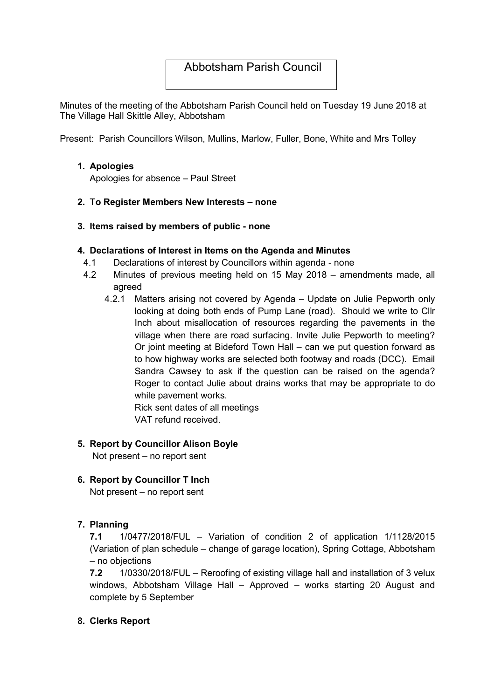# Abbotsham Parish Council

Minutes of the meeting of the Abbotsham Parish Council held on Tuesday 19 June 2018 at The Village Hall Skittle Alley, Abbotsham

Present: Parish Councillors Wilson, Mullins, Marlow, Fuller, Bone, White and Mrs Tolley

### 1. Apologies

Apologies for absence – Paul Street

### 2. To Register Members New Interests – none

3. Items raised by members of public - none

### 4. Declarations of Interest in Items on the Agenda and Minutes

- 4.1 Declarations of interest by Councillors within agenda none
- 4.2 Minutes of previous meeting held on 15 May 2018 amendments made, all agreed
	- 4.2.1 Matters arising not covered by Agenda Update on Julie Pepworth only looking at doing both ends of Pump Lane (road). Should we write to Cllr Inch about misallocation of resources regarding the pavements in the village when there are road surfacing. Invite Julie Pepworth to meeting? Or joint meeting at Bideford Town Hall – can we put question forward as to how highway works are selected both footway and roads (DCC). Email Sandra Cawsey to ask if the question can be raised on the agenda? Roger to contact Julie about drains works that may be appropriate to do while pavement works.

Rick sent dates of all meetings VAT refund received.

### 5. Report by Councillor Alison Boyle

Not present – no report sent

### 6. Report by Councillor T Inch

Not present – no report sent

#### 7. Planning

7.1 1/0477/2018/FUL – Variation of condition 2 of application 1/1128/2015 (Variation of plan schedule – change of garage location), Spring Cottage, Abbotsham – no objections

7.2 1/0330/2018/FUL – Reroofing of existing village hall and installation of 3 velux windows, Abbotsham Village Hall – Approved – works starting 20 August and complete by 5 September

#### 8. Clerks Report